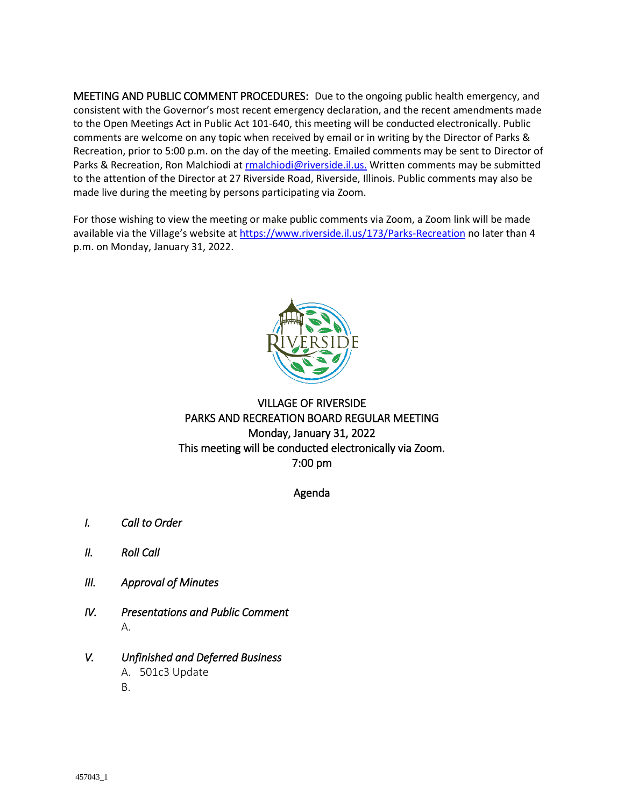MEETING AND PUBLIC COMMENT PROCEDURES: Due to the ongoing public health emergency, and consistent with the Governor's most recent emergency declaration, and the recent amendments made to the Open Meetings Act in Public Act 101-640, this meeting will be conducted electronically. Public comments are welcome on any topic when received by email or in writing by the Director of Parks & Recreation, prior to 5:00 p.m. on the day of the meeting. Emailed comments may be sent to Director of Parks & Recreation, Ron Malchiodi a[t rmalchiodi@riverside.il.us.](mailto:rmalchiodi@riverside.il.us.) Written comments may be submitted to the attention of the Director at 27 Riverside Road, Riverside, Illinois. Public comments may also be made live during the meeting by persons participating via Zoom.

For those wishing to view the meeting or make public comments via Zoom, a Zoom link will be made available via the Village's website at <https://www.riverside.il.us/173/Parks-Recreation> no later than 4 p.m. on Monday, January 31, 2022.



#### VILLAGE OF RIVERSIDE PARKS AND RECREATION BOARD REGULAR MEETING Monday, January 31, 2022 This meeting will be conducted electronically via Zoom. 7:00 pm

#### Agenda

- *I. Call to Order*
- *II. Roll Call*
- *III. Approval of Minutes*
- *IV. Presentations and Public Comment*  A.
- *V. Unfinished and Deferred Business*  A. 501c3 Update B.